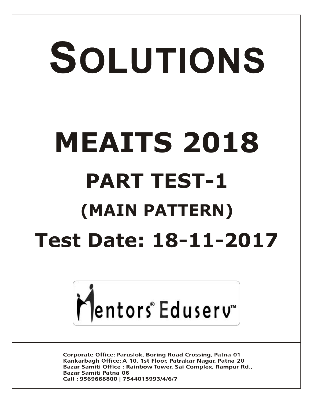# SOLUTIONS **MEAITS 2018 PART TEST-1 (MAIN PATTERN) Test Date: 18-11-2017**



**Corporate Office: Paruslok, Boring Road Crossing, Patna-01** Kankarbagh Office: A-10, 1st Floor, Patrakar Nagar, Patna-20 Bazar Samiti Office: Rainbow Tower, Sai Complex, Rampur Rd., **Bazar Samiti Patna-06** Call: 9569668800 | 7544015993/4/6/7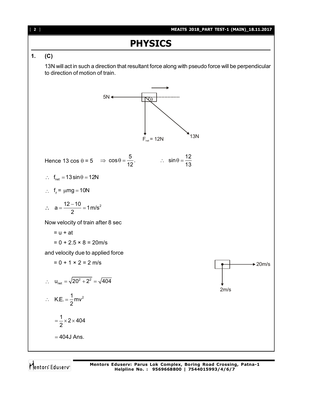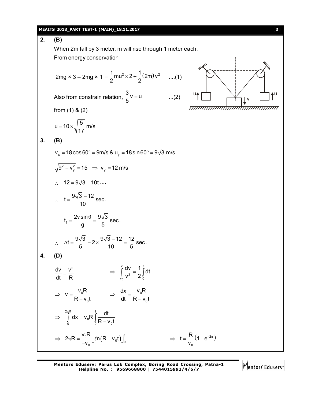#### **MEAITS 2018\_PART TEST-1 (MAIN)\_18.11.2017** [ **3** ]

**2. (B)** When 2m fall by 3 meter, m will rise through 1 meter each. From energy conservation u♠┌┴┐ ╰╮┆╱ ┌┴┐♠u v 2mg × 3 – 2mg × 1 =  $\frac{1}{2}$ mu<sup>2</sup> × 2 +  $\frac{1}{2}$ (2m) v<sup>2</sup>  $=\frac{1}{2}$ mu<sup>2</sup> × 2 +  $\frac{1}{2}$ (2m) v<sup>2</sup> ....(1) Also from constrain relation,  $\frac{3}{5}v = u$ 5  $...(2)$ from (1) & (2)  $u = 10 \times \sqrt{\frac{5}{1.5}}$  m/s 17  $=$  10  $\times$   $\lambda$ **3. (B)**  $v_x = 18 \cos 60^\circ = 9 \text{ m/s} \& u_y = 18 \sin 60^\circ = 9 \sqrt{3} \text{ m/s}$  $9^2 + v_y^2 = 15$   $\Rightarrow$   $v_y = 12$  m/s  $12 = 9\sqrt{3} - 10t$  ....  $\therefore t = \frac{9\sqrt{3}-12}{10} \text{ sec.}$ 10  $=\frac{9\sqrt{3}-1}{10}$  $t_f = \frac{2v \sin \theta}{g} = \frac{9\sqrt{3}}{5}$  sec. g 5  $=\frac{2v\sin\theta}{2}=\frac{9}{2}$  $\therefore \Delta t = \frac{9\sqrt{3}}{5} - 2 \times \frac{9\sqrt{3} - 12}{10} = \frac{12}{5}$  sec. 5 10 5  $\Delta t = \frac{9\sqrt{3}}{5} - 2 \times \frac{9\sqrt{3} - 12}{10} =$ **4. (D)** dv  $v^2$ dt R  $=$ 0  $v$  due 1  $t$ 2  $v_0$   $\sim$  0  $\frac{dv}{2} = \frac{1}{2} \int dt$  $\Rightarrow \int_{v_0} \frac{dv}{v^2} = \frac{1}{2} \int_0^1 dt$ 0 0  $v = \frac{v_0 R}{R}$  $R - v_0 t$  $\Rightarrow$   $V = -$ -0 0 dx  $v_{0}R$ dt R-v<sub>o</sub>t  $\Rightarrow \frac{an}{1!} =$  $\overline{\phantom{0}}$  $2\pi R$  t 0 0 0 0  $dx = v_0 R \int \frac{dt}{R}$  $R - v_0 t$  $\pi$  $\Rightarrow$   $\vert dx = v$  $\int_{0} dx = v_0 R \int_{0} \frac{dx}{R}$  $\frac{{}_{0}R}{v_{0}}\left[\ln(R-v_{0}t)\right]_{0}^{t}$  $2\pi R = \frac{v_0 R}{\epsilon} \left[ \ln(R - v_0 t) \right]$  $\Rightarrow 2\pi R = \frac{v_0}{-v_0} \left[ \ln(R - v_0 t) \right]_0^1$  $ln(R - v_0 t)]_0^1$   $\Rightarrow t = \frac{N}{2}(1 - e^{-2\pi})$ 0  $t = \frac{R}{r} (1 - e^{-r})$ v  $\Rightarrow$  t =  $\frac{1}{2}$  (1 – e<sup>-2 $\pi$ </sup>)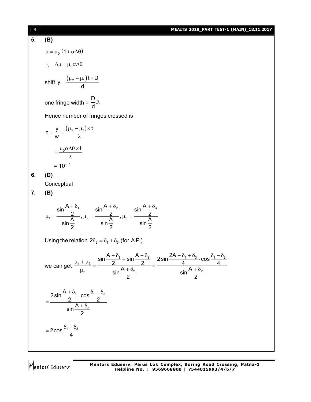## **5. (B)**  $\mu = \mu_0 (1 + \alpha \Delta \theta)$  $\therefore \Delta \mu = \mu_0 \alpha \Delta \theta$ shift y =  $\frac{(\mu_2 - \mu_1)t \times D}{dt}$ d  $=\frac{(\mu_2-\mu_1)t\times L}{t}$ one fringe width = D . d  $\lambda$ Hence number of fringes crossed is  $n = \frac{y}{x} = \frac{(\mu_2 - \mu_1) \times t}{2}$ w  $=\frac{y}{x}=\frac{(\mu_2-\mu_1)\times t}{x}$ λ  $=\frac{\mu_0 \alpha \Delta \theta \times t}{2}$ λ  $= 10^{-4}$ **6. (D) Conceptual 7. (B)** 1  $\sin'$   $\frac{10}{2}$   $\sin'$   $\frac{10}{3}$ 1  $\Delta$   $, \mu_2$   $\Delta$   $, \mu_3$  $\sin \frac{A + \delta_1}{2}$   $\sin \frac{A + \delta_2}{2}$   $\sin \frac{A}{2}$  $\frac{2}{\sin \frac{A}{2}}$ ,  $\mu_2 = \frac{2}{\sin \frac{A}{2}}$ ,  $\mu_3 = \frac{2}{\sin \frac{A}{2}}$  $+\delta_1$   $\qquad \qquad \delta_2$   $A + \delta_2$   $\qquad \qquad \delta_3$  $\mu_1 = \frac{2}{\Delta}$ ,  $\mu_2 = \frac{2}{\Delta}$ ,  $\mu_3 = -$

Using the relation  $2\delta_2 = \delta_1 + \delta_3$  (for A.P.)

2 2 2

we can get 
$$
\frac{\mu_1 + \mu_3}{\mu_2} = \frac{\sin \frac{A + \delta_1}{2} + \sin \frac{A + \delta_3}{2}}{\sin \frac{A + \delta_2}{2}} = \frac{2 \sin \frac{2A + \delta_1 + \delta_3}{4} \cdot \cos \frac{\delta_1 - \delta_3}{4}}{\sin \frac{A + \delta_2}{2}}
$$

$$
=\frac{2\sin\frac{A+\delta_1}{2}\cdot\cos\frac{\delta_1-\delta_3}{2}}{\sin\frac{A+\delta_2}{2}}
$$

$$
=2\cos\frac{\delta_1-\delta_3}{4}
$$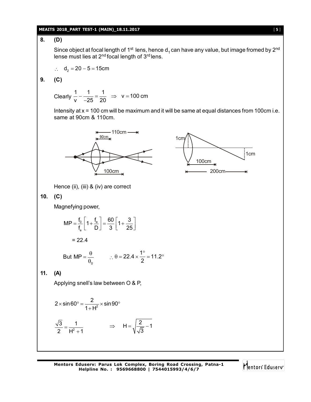#### **MEAITS 2018\_PART TEST-1 (MAIN)\_18.11.2017** [ **5** ]

# **8. (D)**

Since object at focal length of 1<sup>st</sup> lens, hence d<sub>1</sub> can have any value, but image fromed by 2<sup>nd</sup> lense must lies at 2<sup>nd</sup> focal length of 3<sup>rd</sup> lens.

$$
\therefore d_2 = 20 - 5 = 15 \text{cm}
$$

$$
9. (C)
$$

Clearly  $\frac{1}{v} - \frac{1}{25} = \frac{1}{20} \Rightarrow v = 100$  cm v 25 20  $-\frac{1}{25} = \frac{1}{22} \Rightarrow V = 1$  $\overline{a}$ 

Intensity at x = 100 cm will be maximum and it will be same at equal distances from 100cm i.e. same at 90cm & 110cm.





**10. (C)**

Magnefying power,

$$
MP = \frac{f_0}{f_e} \left[ 1 + \frac{f_e}{D} \right] = \frac{60}{3} \left[ 1 + \frac{3}{25} \right]
$$

Hence (ii), (iii) & (iv) are correct

 $= 22.4$ 

But MP = 
$$
\frac{\theta}{\theta_0}
$$
  $\therefore \theta = 22.4 \times \frac{1^{\circ}}{2} = 11.2^{\circ}$ 

**11. (A)**

Applying snell's law between O & P,

$$
2 \times \sin 60^\circ = \frac{2}{1+H^2} \times \sin 90^\circ
$$

$$
\frac{\sqrt{3}}{2} = \frac{1}{H^2+1} \qquad \Rightarrow \qquad H = \sqrt{\frac{2}{\sqrt{3}}-1}
$$

Mentors Eduserv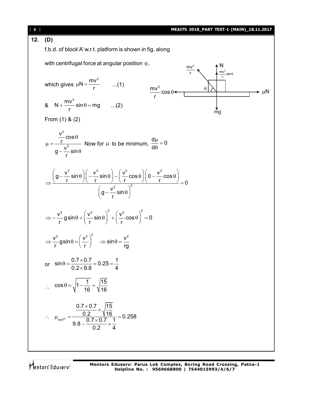| $\begin{bmatrix} 6 \end{bmatrix}$ | MEAITS 2018_PART TEST-1 (MAIN)_18.11.2017                                                                                                                                                                                         |
|-----------------------------------|-----------------------------------------------------------------------------------------------------------------------------------------------------------------------------------------------------------------------------------|
| 12.                               | (D)                                                                                                                                                                                                                               |
|                                   | f.b.d. of block A' w.r.t. platform is shown in fig. along                                                                                                                                                                         |
|                                   | with centrifugal force at angular position $\theta$ ,<br>$\frac{mv^2}{r} \sin \theta$                                                                                                                                             |
|                                   | which gives $\mu$ N = $\frac{mv^2}{r}$ (1)<br>$\frac{mv^2}{r} \cos \theta$<br>$\theta$<br>$\mu$ N                                                                                                                                 |
|                                   | 8. $N + \frac{mv^2}{r} \sin \theta = mg$ (2)<br>mg                                                                                                                                                                                |
|                                   | From $(1)$ & $(2)$                                                                                                                                                                                                                |
|                                   | $\mu = \frac{\frac{v^2}{r} \cos \theta}{g - \frac{v^2}{r} \sin \theta}$ Now for $\mu$ to be mnimum, $\frac{d\mu}{d\theta} = 0$                                                                                                    |
|                                   | $\Rightarrow \frac{\left(g - \frac{v^2}{r}\sin\theta\right)\left(-\frac{v^2}{r}\sin\theta\right) - \left(\frac{v^2}{r}\cos\theta\right)\left(0 - \frac{v^2}{r}\cos\theta\right)}{\left(g - \frac{v^2}{r}\sin\theta\right)^2} = 0$ |
|                                   | $\Rightarrow -\frac{v^2}{r}$ gsin $\theta + \left(\frac{v^2}{r}\sin\theta\right)^2 + \left(\frac{v^2}{r}\cos\theta\right)^2 = 0$                                                                                                  |
|                                   | $\Rightarrow \frac{v^2}{r}$ gsin $\theta = \left(\frac{v^2}{r}\right)^2 \Rightarrow \sin \theta = \frac{v^2}{r}$                                                                                                                  |
|                                   | or $\sin \theta = \frac{0.7 \times 0.7}{0.2 \times 9.8} = 0.25 = \frac{1}{4}$                                                                                                                                                     |
|                                   | $\therefore \quad \cos \theta = \sqrt{1 - \frac{1}{16}} = \sqrt{\frac{15}{16}}$                                                                                                                                                   |
|                                   | ∴ $\mu_{min^m} = \frac{\frac{0.7 \times 0.7}{0.2} \times \sqrt{\frac{15}{16}}}{9.8 - \frac{0.7 \times 0.7}{0.2} \times \frac{1}{4}} = 0.258$                                                                                      |
|                                   |                                                                                                                                                                                                                                   |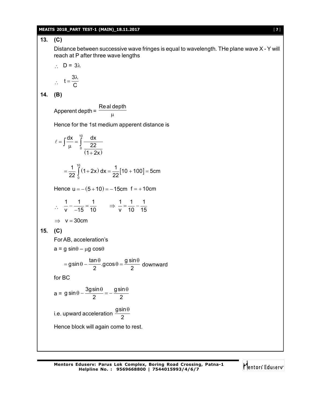#### **MEAITS 2018\_PART TEST-1 (MAIN)\_18.11.2017** [ **7** ]

# **13. (C)**

Distance between successive wave fringes is equal to wavelength. THe plane wave X - Y will reach at P after three wave lengths

$$
\therefore D = 3\lambda
$$

$$
\therefore t = \frac{3\lambda}{C}
$$

C

**14. (B)**

Apperent depth = Real depth  $\mu$ 

Hence for the 1st medium apperent distance is

$$
\ell = \int \frac{dx}{\mu} = \int_{0}^{10} \frac{dx}{22}
$$
  
\n
$$
= \frac{1}{22} \int_{0}^{10} (1+2x) dx = \frac{1}{22} [10 + 100] = 5 \text{cm}
$$
  
\nHence  $u = -(5 + 10) = -15 \text{cm}$   $f = +10 \text{cm}$   
\n $\therefore \frac{1}{v} - \frac{1}{-15} = \frac{1}{10} \implies \frac{1}{v} = \frac{1}{10} - \frac{1}{15}$   
\n $\implies v = 30 \text{cm}$   
\n15. (C)  
\nFor AB, acceleration's  
\n $a = g \sin \theta - \mu g \cos \theta$   
\n $= g \sin \theta - \frac{\tan \theta}{2} \cdot g \cos \theta = \frac{g \sin \theta}{2}$  downward  
\nfor BC  
\n $a = g \sin \theta - \frac{3g \sin \theta}{2} = -\frac{g \sin \theta}{2}$   
\ni.e. upward acceleration  $\frac{g \sin \theta}{2}$   
\nHence block will again come to rest.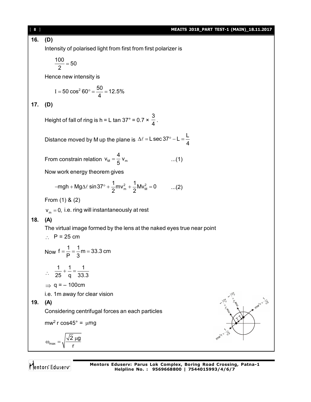[ **8** ] **MEAITS 2018\_PART TEST-1 (MAIN)\_18.11.2017 16. (D)** Intensity of polarised light from first from first polarizer is  $\frac{100}{2}$  = 50 2  $=$ Hence new intensity is  $50 \cos^2 60^\circ = \frac{50}{4} = 12.5\%$ 4  $I = 50 \cos^2 60^\circ = \frac{50}{1} =$ **17. (D)** Height of fall of ring is h = L tan  $37^{\circ}$  = 0.7  $\times$ 3  $\frac{1}{4}$ . Distance moved by M up the plane is L sec 37° – L  $=\frac{L}{L}$ 4  $\Delta \ell$  = L sec 37° – L = -From constrain relation  $V_M = -V_m$  $v_{\rm M} = \frac{4}{5} v_{\rm r}$  $=\frac{1}{5}V_m$  ...(1) Now work energy theorem gives  $mgh + Mg\Delta\ell \sin 37^\circ + \frac{1}{2}mv_m^2 + \frac{1}{2}Mv_m^2 = 0$  $-mgh + Mg\Delta\ell \sin 37^{\circ} + \frac{1}{2}mv_{m}^{2} + \frac{1}{2}Mv_{M}^{2} = 0$  ...(2) From (1) & (2)  ${\bm \nu}_{_{\bm m}}$  = 0, i.e. ring will instantaneously at rest **18. (A)** The virtual image formed by the lens at the naked eyes true near point  $\therefore$  P = 25 cm Now  $f = \frac{1}{R} = \frac{1}{2}m = 33.3$  cm P 3  $=\frac{1}{2}=\frac{1}{2}$ m = 3  $\therefore$ 1 1 1 25 q 33.3  $+ - = \Rightarrow$  q = – 100cm i.e. 1m away for clear vision **19. (A)** Considering centrifugal forces an each particles  $\breve{\phantom{1}}$  $\sum$ mw<sup>2</sup> r cos45 $\degree$  =  $\mu$ mg max  $2 \mu g$ r  $\omega_{\text{max}} = \sqrt{\frac{\sqrt{2}}{\mu}}$ 

Mentors<sup>®</sup> Eduserv<sup>®</sup>

**Mentors Eduserv: Parus Lok Complex, Boring Road Crossing, Patna-1 Helpline No. : 9569668800 | 7544015993/4/6/7**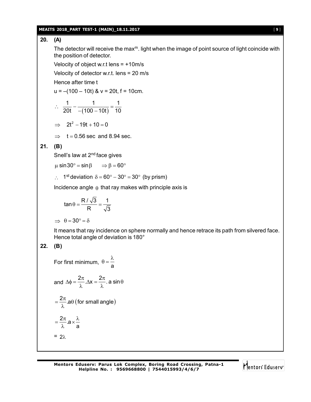#### **MEAITS 2018\_PART TEST-1 (MAIN)\_18.11.2017** [ **9** ]

# **20. (A)**

The detector will receive the max $<sup>m</sup>$ . light when the image of point source of light coincide with</sup> the position of detector.

Velocity of object w.r.t lens = +10m/s

Velocity of detector w.r.t. lens = 20 m/s

Hence after time t

$$
u = -(100 - 10t) & v = 20t, f = 10cm.
$$

$$
\therefore \quad \frac{1}{20t} - \frac{1}{-(100-10t)} = \frac{1}{10}
$$

$$
\implies 2t^2 - 19t + 10 = 0
$$

 $\Rightarrow$  t = 0.56 sec and 8.94 sec.

## **21. (B)**

Snell's law at 2<sup>nd</sup> face gives

 $\mu$  sin 30° = sin  $\beta \implies \beta = 60^{\circ}$ 

 $\therefore$  1<sup>st</sup> deviation  $\delta = 60^{\circ} - 30^{\circ} = 30^{\circ}$  (by prism)

Incidence angle  $\theta$  that ray makes with principle axis is

$$
\tan \theta = \frac{R/\sqrt{3}}{R} = \frac{1}{\sqrt{3}}
$$

 $\Rightarrow$   $\theta = 30^{\circ} = \delta$ 

It means that ray incidence on sphere normally and hence retrace its path from silvered face. Hence total angle of deviation is 180°

# **22. (B)**

For first minimum,  $\theta = \frac{a}{a}$  $\theta = \frac{\lambda}{\tau}$ 

and 
$$
\Delta \phi = \frac{2\pi}{\lambda} \Delta x = \frac{2\pi}{\lambda}
$$
. a sin  $\theta$ 

$$
= \frac{2\pi}{\lambda} \cdot a \theta \text{ (for small angle)}
$$

$$
= \frac{2\pi}{\lambda} \cdot a \times \frac{\lambda}{a}
$$

$$
= 2\lambda
$$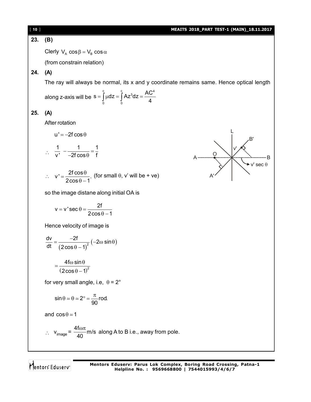O

A'

v'

L

B'

 $\blacktriangleright$  v' sec  $\theta$ 

# **23. (B)**

Clerly  $V_A \cos \beta = V_B \cos \alpha$ 

(from constrain relation)

# **24. (A)**

The ray will always be normal, its x and y coordinate remains same. Hence optical length

along z-axis will be 
$$
s = \int_{0}^{c} \mu dz = \int_{0}^{c} Az^{3} dz = \frac{AC^{4}}{4}
$$

# **25. (A)**

After rotation

 $u' = -2f \cos \theta$ 

$$
\therefore \frac{1}{v'} - \frac{1}{-2f\cos\theta} = \frac{1}{f}
$$

$$
\therefore v' = \frac{2f \cos \theta}{2\cos \theta - 1}
$$
 (for small  $\theta$ , v' will be + ve)

so the image distane along initial OA is

$$
v = v' \sec \theta = \frac{2f}{2\cos\theta - 1}
$$

Hence velocity of image is

$$
\frac{dv}{dt} = \frac{-2f}{(2\cos\theta - 1)^2} \left(-2\omega\sin\theta\right)
$$

 $(2\cos\theta-1)^2$ 4f $\omega$  sin  $2\cos\theta-1$  $=\frac{4f\omega \sin \theta}{\sqrt{2f\omega^2}}$  $\theta - 1$ 

for very small angle, i.e,  $\theta = 2^{\circ}$ 

$$
\sin \theta \simeq \theta \simeq 2^{\circ} = \frac{\pi}{90} \text{rod.}
$$

and  $cos \theta \approx 1$ 

∴ 
$$
v_{image} = \frac{4f\omega\pi}{40}
$$
 m/s along A to B i.e., away from pole.

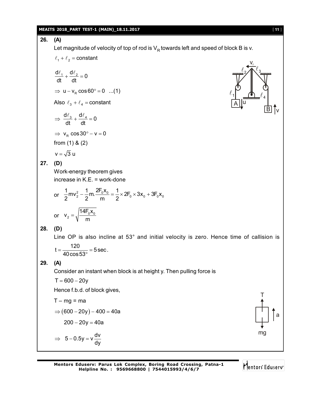## **MEAITS 2018\_PART TEST-1 (MAIN)\_18.11.2017** [ **11** ]

**26. (A)** Let magnitude of velocity of top of rod is  $V_R$  towards left and speed of block B is v.  $\ell_1 + \ell_2$  = constant B A v<sub>r</sub> 1  $\ell$ 3  $\ell$ 2  $\ell$ 4  $\ell$ u v  $\frac{d\ell_1}{dt} + \frac{d\ell_2}{dt} = 0$ dt dt  $\frac{\ell_1}{\mu} + \frac{d\ell_2}{\mu} = 0$  $\Rightarrow$  u - v<sub>R</sub> cos 60° = 0 ...(1) Also  $\ell_3 + \ell_4$  = constant  $\frac{d\ell_3}{dt} + \frac{d\ell_4}{dt} = 0$ dt dt  $\Rightarrow \frac{d\ell_3}{dt} + \frac{d\ell_4}{dt} = 0$  $\Rightarrow$  v<sub>R</sub>  $\cos 30^\circ - v = 0$ from (1) & (2)  $v = \sqrt{3} u$ **27. (D)** Work-energy theorem gives increase in K.E. = work-done or  $\frac{1}{2}$  mv<sub>2</sub> -  $\frac{1}{2}$  m.  $\frac{2F_0x_0}{m} = \frac{1}{2} \times 2F_0 \times 3x_0 + 3F_0x_0$ 2 <sup>2</sup> 2 m 2  $-\frac{1}{6}$ m.  $\frac{24.640}{100} = \frac{1}{2} \times 2F_0 \times 3x_0 + 3$ or  $V_2 = \sqrt{\frac{1.1600}{m}}$  $v_2 = \sqrt{\frac{14F_0x_0}{r}}$ m  $=$ **28. (D)** Line OP is also incline at 53° and initial velocity is zero. Hence time of callision is  $t = \frac{120}{120} = 5 \text{ sec}.$ 40cos53  $=\frac{120}{18}$  = 588  $\circ$ **29. (A)** Consider an instant when block is at height y. Then pulling force is  $T = 600 - 20y$ Hence f.b.d. of block gives, T mg a  $T - mg = ma$  $\Rightarrow$  (600 - 20y) - 400 = 40a  $200 - 20y = 40a$  $5 - 0.5y = v \frac{dv}{dt}$ dy  $\Rightarrow$  5 – 0.5y =  $\sqrt{ }$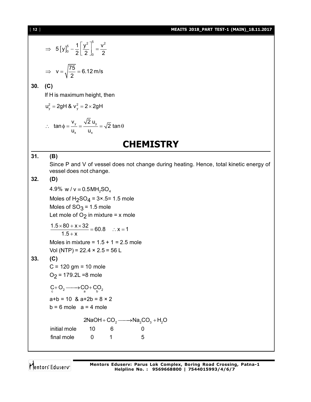## [ **12** ] **MEAITS 2018\_PART TEST-1 (MAIN)\_18.11.2017**

$$
\Rightarrow 5 [y]_0^5 - \frac{1}{2} \left[ \frac{y^2}{2} \right]_0^5 = \frac{v^2}{2}
$$
\n
$$
\Rightarrow v = \sqrt{\frac{75}{2}} = 6.12 \text{ m/s}
$$
\n30. (C)\nIf H is maximum height, then  
\n
$$
u_y^2 = 2gH & w_y^2 = 2 \times 2gH
$$
\n
$$
\therefore \tan \phi = \frac{v_y}{u_x} = \frac{\sqrt{2} u_y}{u_x} = \sqrt{2} \tan \theta
$$
\n**CHAPTERY**\n  
\n31. (B)\nSince P and V of vessel does not change.  
\nweesseld does not change.  
\n132. (D)\n4.9% W/V = 0.5MHz<sub>3</sub>O<sub>4</sub>  
\nMoles of H<sub>2</sub>SO<sub>4</sub> = 3×.5= 1.5 mole  
\nMoles of SO<sub>3</sub> = 1.5 mole  
\nLet mole of O<sub>2</sub> in mixture = x mole  
\n
$$
\frac{1.5 \times 80 + x \times 32}{1.5 + x} = 60.8 \quad \therefore x = 1
$$
\nMoles in mixture = 1.5 + 1 = 2.5 mole  
\nVol (NTP) = 22.4 × 2.5 = 56 L  
\n33. (C)\nC = 120 gm = 10 mole  
\nO<sub>2</sub> = 179.2 L = 8 mole  
\n
$$
c + 0_2 \longrightarrow c_0 + c_0
$$
\n
$$
c + 0_2 \longrightarrow c_0 + c_0
$$
\n
$$
e + 0_2 \longrightarrow c_0 + c_0
$$
\n
$$
e + 0_2 \longrightarrow c_0 + c_0
$$
\n
$$
e + 0_2 \longrightarrow c_0 + c_0
$$
\n
$$
e + 0_2 \longrightarrow c_0 + c_0
$$
\n
$$
e + 0_2 \longrightarrow c_0 + c_0
$$
\n
$$
e + 0_2 \longrightarrow c_0 + c_0
$$
\n
$$
e + 0_2 \longrightarrow c_0 + c_0
$$
\n
$$
e + 0_2 \longrightarrow c_0 + c_0
$$
\n
$$
e + 0_2 \longrightarrow c_0 + c_0
$$
\n
$$
e +
$$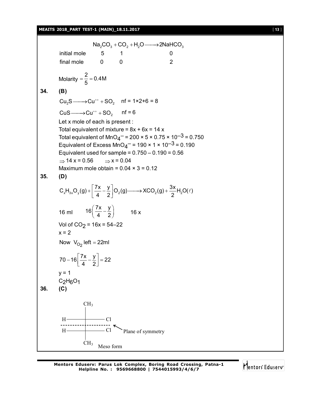#### **MEAITS 2018\_PART TEST-1 (MAIN)\_18.11.2017** [ **13** ]

 $\mathsf{Na}_2\mathsf{CO}_3 + \mathsf{CO}_2 + \mathsf{H}_2\mathsf{O} \longrightarrow 2\mathsf{NaHCO}_3$ initial mole  $\begin{array}{cccc} 5 & 1 & 0 \\ 0 & 0 & 0 \\ 0 & 0 & 0 \\ 0 & 0 & 0 \\ 0 & 0 & 0 \\ 0 & 0 & 0 \\ 0 & 0 & 0 \\ 0 & 0 & 0 \\ 0 & 0 & 0 \\ 0 & 0 & 0 \\ 0 & 0 & 0 \\ 0 & 0 & 0 \\ 0 & 0 & 0 \\ 0 & 0 & 0 & 0 \\ 0 & 0 & 0 & 0 \\ 0 & 0 & 0 & 0 \\ 0 & 0 & 0 & 0 \\ 0 & 0 & 0 & 0 \\ 0 & 0 & 0 & 0 & 0 \\ 0 & 0 & 0 &$  $final$  mole  $0$  0  $2$ Molarity  $\frac{2}{5}$  = 0.4M 5  $=$  $\frac{1}{5}$  = 0 **34. (B)**  $Cu<sub>2</sub>S \longrightarrow Cu<sup>++</sup> + SO<sub>2</sub>$  nf = 1×2+6 = 8  $CuS \longrightarrow Cu^{++} + SO_2$  nf = 6 Let x mole of each is present : Total equivalent of mixture =  $8x + 6x = 14x$ Total equivalent of MnO<sub>4</sub><sup>-</sup> = 200 × 5 × 0.75 × 10<sup>-3</sup> = 0.750 Equivalent of Excess MnO $_4$ <sup>--</sup> = 190 × 1 × 10<sup>--3</sup> = 0.190 Equivalent used for sample =  $0.750 - 0.190 = 0.56$  $\Rightarrow$  14 x = 0.56  $\Rightarrow$  x = 0.04 Maximum mole obtain =  $0.04 \times 3 = 0.12$ **35. (D)**  $C_xH_{3x}O_y(g)+\left(\frac{7x}{4}-\frac{y}{2}\right)O_2(g) \longrightarrow XCO_2(g)+\frac{3x}{2}H_2O(\ell)$ 4 2 2  $+\left[\frac{7x}{4}-\frac{y}{2}\right]O_2(g) \longrightarrow XCO_2(g) + \frac{3x}{2}H_2O(\ell)$ 16 ml  $16\left(\frac{7x}{4} - \frac{y}{3}\right)$ 4 2  $\left(\frac{7x}{4} - \frac{y}{2}\right)$  16 x Vol of CO<sub>2</sub> = 16x = 54–22  $x = 2$ Now  $V_{O_2}$  left = 22ml  $70 - 16 \frac{7x}{1} - \frac{y}{6} = 22$ 4 2  $-16\left[\frac{7x}{4}-\frac{y}{2}\right]=2$  $y = 1$  $C_2H_6O_1$ **36. (C)**  $CH<sub>3</sub>$  $CH<sub>3</sub>$ H———————————Cl Plane of symmetry  $H \longrightarrow Cl$ Meso form

Mentors Eduserv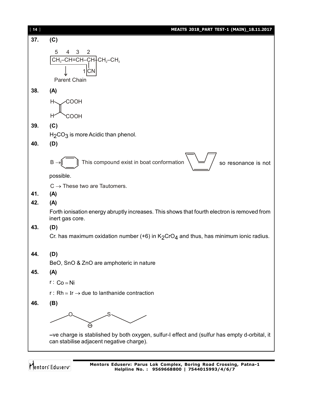| $[14]$ | MEAITS 2018_PART TEST-1 (MAIN)_18.11.2017                                                                      |
|--------|----------------------------------------------------------------------------------------------------------------|
| 37.    | (C)                                                                                                            |
|        | 5<br>3<br>2<br>4                                                                                               |
|        | $CH3-CH=CH–CH+CH2-CH3$                                                                                         |
|        | СN<br>11                                                                                                       |
|        | <b>Parent Chain</b>                                                                                            |
| 38.    | (A)                                                                                                            |
|        | <b>COOH</b><br>Н,                                                                                              |
|        | COOH<br>H                                                                                                      |
| 39.    | (C)                                                                                                            |
|        | $H2CO3$ is more Acidic than phenol.                                                                            |
| 40.    | (D)                                                                                                            |
|        |                                                                                                                |
|        | This compound exist in boat conformation<br>B<br>so resonance is not                                           |
|        | possible.                                                                                                      |
|        | $C \rightarrow$ These two are Tautomers.                                                                       |
| 41.    | (A)                                                                                                            |
| 42.    | (A)                                                                                                            |
|        | Forth ionisation energy abruptly increases. This shows that fourth electron is removed from<br>inert gas core. |
| 43.    | (D)                                                                                                            |
|        | Cr. has maximum oxidation number (+6) in $K_2CrO_4$ and thus, has minimum ionic radius.                        |
| 44.    |                                                                                                                |
|        | (D)<br>BeO, SnO & ZnO are amphoteric in nature                                                                 |
| 45.    | (A)                                                                                                            |
|        | $r: Co \approx Ni$                                                                                             |
|        | r: Rh $\approx$ Ir $\rightarrow$ due to lanthanide contraction                                                 |
| 46.    | (B)                                                                                                            |
|        |                                                                                                                |
|        |                                                                                                                |
|        | -ve charge is stablished by both oxygen, sulfur-I effect and (sulfur has empty d-orbital, it                   |
|        | can stabilise adjacent negative charge).                                                                       |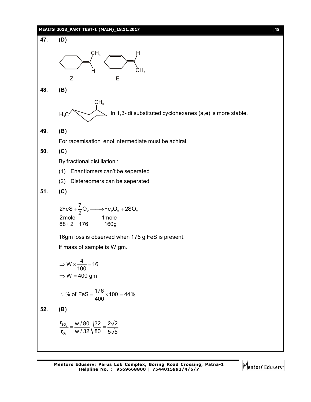#### **MEAITS 2018\_PART TEST-1 (MAIN)\_18.11.2017** [ **15** ]

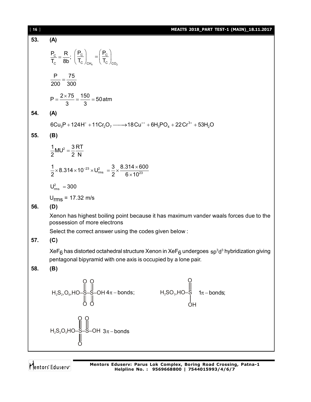| [16] | MEAITS 2018_PART TEST-1 (MAIN)_18.11.2017                                                                                                                                                                     |
|------|---------------------------------------------------------------------------------------------------------------------------------------------------------------------------------------------------------------|
| 53.  | (A)                                                                                                                                                                                                           |
|      | $\frac{P_{\rm C}}{T_{\rm C}} = \frac{R}{8b}$ ; $\left(\frac{P_{\rm C}}{T_{\rm C}}\right)_{\rm CH} = \left(\frac{P_{\rm C}}{T_{\rm C}}\right)_{\rm CO}$                                                        |
|      | $\frac{P}{200} = \frac{75}{300}$                                                                                                                                                                              |
|      | $P = \frac{2 \times 75}{3} = \frac{150}{3} = 50$ atm                                                                                                                                                          |
| 54.  | (A)                                                                                                                                                                                                           |
|      | $6Cu_3P + 124H^+ + 11Cr_2O_7 \longrightarrow 18Cu^{++} + 6H_3PO_4 + 22Cr^{3+} + 53H_2O$                                                                                                                       |
| 55.  | (B)                                                                                                                                                                                                           |
|      | $\frac{1}{2}$ MU <sup>2</sup> = $\frac{3}{2}$ RT                                                                                                                                                              |
|      | $\frac{1}{2}$ × 8.314 × 10 <sup>-23</sup> × U <sub>ms</sub> = $\frac{3}{2}$ × $\frac{8.314 \times 600}{6 \times 10^{23}}$                                                                                     |
|      | $U_{\rm rms}^2$ = 300                                                                                                                                                                                         |
|      | $U_{rms}$ = 17.32 m/s                                                                                                                                                                                         |
| 56.  | (D)                                                                                                                                                                                                           |
|      | Xenon has highest boiling point because it has maximum vander waals forces due to the<br>possession of more electrons                                                                                         |
|      | Select the correct answer using the codes given below:                                                                                                                                                        |
| 57.  | (C)                                                                                                                                                                                                           |
|      | XeF <sub>6</sub> has distorted octahedral structure Xenon in XeF <sub>6</sub> undergoes sp <sup>3</sup> d <sup>3</sup> hybridization giving<br>pentagonal bipyramid with one axis is occupied by a lone pair. |
| 58.  | (B)                                                                                                                                                                                                           |
|      | $H_2S_2, O_6, HO-S-S-OH 4\pi-bonds;$<br>$H_2SO_3, HO-S 1\pi-bonds;$<br>$H_2SO_3, HO-S 1\pi-bonds;$                                                                                                            |
|      | $H_2S_2O_5HO-S-S-OH$ 3 $\pi$ -bonds                                                                                                                                                                           |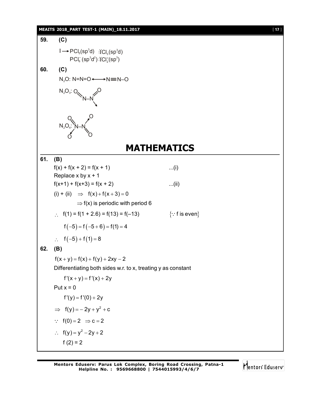#### **MEAITS 2018\_PART TEST-1 (MAIN)\_18.11.2017** [ **17** ]

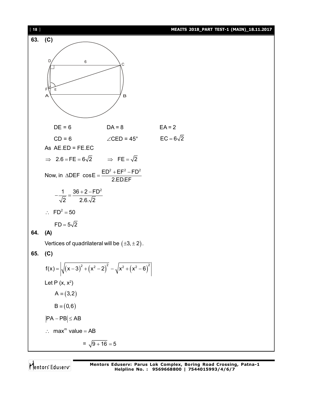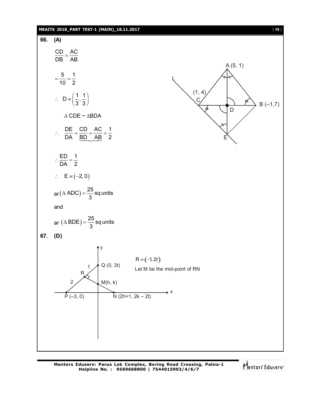

**Mentors Eduserv: Parus Lok Complex, Boring Road Crossing, Patna-1 Helpline No. : 9569668800 | 7544015993/4/6/7**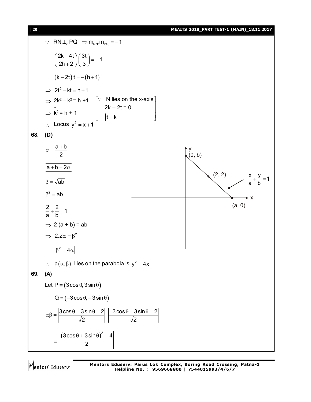

 $\therefore$  RN  $\perp$ <sub>r</sub> PQ  $\Rightarrow$  m<sub>RN</sub>  $m_{PQ} = -1$  $\left(\frac{2k-4t}{2}\right)\left(\frac{3t}{2}\right)=-1$ 2h + 2  $\frac{1}{3}$  $\left(\frac{2k-4t}{2h+2}\right)\left(\frac{3t}{3}\right)=-1$  $(k - 2t) t = -(h + 1)$  $\implies$  2t<sup>2</sup> - kt = h + 1  $\Rightarrow$  2k<sup>2</sup> – k<sup>2</sup> = h +1  $\left|\because\right|$  N lies on the x-axis 2k – 2t = 0  $t = k$  $|\because$  N lies on the x-axis  $|\cdot|$  $\therefore 2k - 2t = 0$  $\lfloor t = k \rfloor$  $\ddot{\cdot}$  $\Rightarrow$  k<sup>2</sup> = h + 1  $\therefore$  Locus  $y^2 = x + 1$ **68. (D)**  $a + b$ 2  $\alpha = \frac{a+b}{2}$  $\left(\begin{matrix} 0, & b \end{matrix}\right)$ (2, 2) (a, 0)  $\frac{x}{1} + \frac{y}{1} = 1$ a b  $+\frac{y}{x} =$ x  $a + b = 2\alpha$  $\beta = \sqrt{ab}$  $\beta^2 = ab$  $2 + 2 = 1$ a b  $+ - = 1$  $\Rightarrow$  2 (a + b) = ab  $\Rightarrow$  2.2 $\alpha = \beta^2$  $\beta^2 = 4\alpha$ :  $p(\alpha, \beta)$  Lies on the parabola is  $y^2 = 4x$ **69. (A)** Let  $P = (3 \cos \theta, 3 \sin \theta)$  $Q = (-3 \cos \theta, -3 \sin \theta)$  $\mathtt{3cos}\,\theta$  +  $\mathtt{3sin}\,\theta$   $2|\,\,|$   $-3\cos\theta$   $\mathtt{3sin}\,\theta$   $2|\,$ 2  $|| \sqrt{2}$  $\alpha\beta = \frac{3\cos\theta + 3\sin\theta - 2}{\sqrt{2}} \begin{array}{|c|c|c|c|c|} \hline -3\cos\theta - 3\sin\theta - 2 & \hline \end{array}$ =  $(3\cos\theta+3\sin\theta)^2-4$ 2  $(\theta + 3\sin\theta)^2 - 4$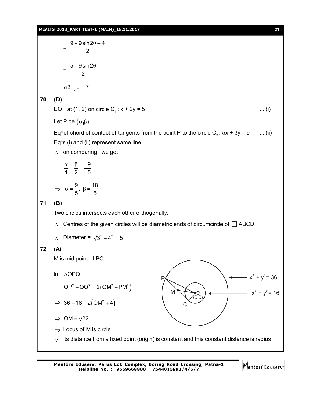#### **MEAITS 2018\_PART TEST-1 (MAIN)\_18.11.2017** [ **21** ]

=  $9 + 9$ sin2 $\theta - 4$ 2  $+9\sin2\theta - 4$ =  $5 + 9 \sin 2$ 2  $+9\sin 2\theta$  $\alpha\beta_{\text{max}^m} = 7$ **70. (D)** EOT at (1, 2) on circle  $C_1$ :  $x + 2y = 5$  .....(i) Let P be  $(\alpha,\beta)$ Eq<sup>n</sup> of chord of contact of tangents from the point P to the circle C<sub>2</sub>:  $\alpha x + \beta y = 9$  ....(ii) Eq<sup>n</sup>s (i) and (ii) represent same line  $\therefore$  on comparing : we get 9 1 2  $-5$  $\frac{\alpha}{4} = \frac{\beta}{2} = \frac{-9}{4}$ - $\frac{9}{5}$ ,  $\beta = \frac{18}{5}$  $5'$  5  $\Rightarrow \alpha = \frac{6}{5}, \beta = -$ **71. (B)** Two circles intersects each other orthogonally.  $\therefore$  Centres of the given circles will be diametric ends of circumcircle of  $\Box$  ABCD. ∴ Diameter =  $\sqrt{3^2 + 4^2} = 5$ **72. (A)** M is mid point of PQ M Q  $\overline{O}$  $^{\prime\prime}(0,0)$  $\longleftarrow$   $x^2 + y^2 = 36$  $- x^2 + y^2 = 16$ In AOPQ  $OP^2 + OQ^2 = 2(OM^2 + PM^2)$  $\implies$  36 + 16 = 2(OM<sup>2</sup> + 4)  $\Rightarrow$  OM =  $\sqrt{22}$  $\Rightarrow$  Locus of M is circle  $\cdot$ . Its distance from a fixed point (origin) is constant and this constant distance is radius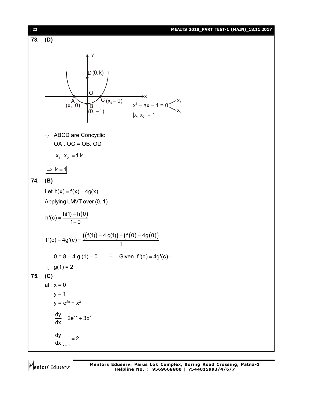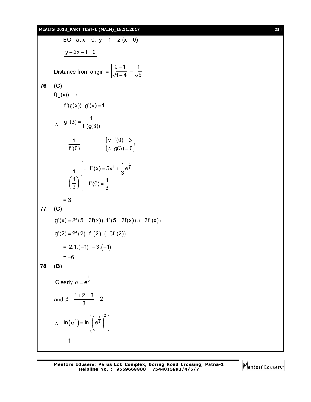## **MEAITS 2018\_PART TEST-1 (MAIN)\_18.11.2017** [ **23** ]

∴ EOT at x = 0; y-1 = 2 (x – 0)  
\n
$$
\frac{|y-2x-1=0|}{|y-2x-1=0|}
$$
\nDistance from origin =  $\left|\frac{0-1}{\sqrt{1+4}}\right| = \frac{1}{\sqrt{5}}$   
\n76. (C)  
\n $f(g(x)) = x$   
\n $f'(g(x)) \cdot g'(x) = 1$   
\n∴  $g'(3) = \frac{1}{f'(g(3))}$   
\n $= \frac{1}{f'(0)}$  {∴  $f(0) = 3$  }  
\n∴  $g(3) = 0$  }  
\n $= \frac{1}{f'(0)}$  {∴  $f'(x) = 5x^4 + \frac{1}{3}e^{\frac{x}{3}}$   
\n $= \frac{1}{(\frac{1}{3})}\begin{cases} \because f'(x) = 5x^4 + \frac{1}{3}e^{\frac{x}{3}} \\ f'(0) = \frac{1}{3} \end{cases}$   
\n= 3  
\n77. (C)  
\n $g'(x) = 2f(5-3f(x)) \cdot f'(5-3f(x)) \cdot (-3f'(x))$   
\n $g'(2) = 2f(2) \cdot f'(2) \cdot (-3f'(2))$   
\n $= 2.1 \cdot (-1) \cdot -3 \cdot (-1)$   
\n= -6  
\n78. (B)  
\nClearly  $\alpha = e^{\frac{1}{2}}$   
\nand  $\beta = \frac{1+2+3}{3} = 2$   
\n∴  $\ln(\alpha^{\beta}) = \ln(\left(e^{\frac{1}{2}}\right)^2$   
\n $= 1$ 

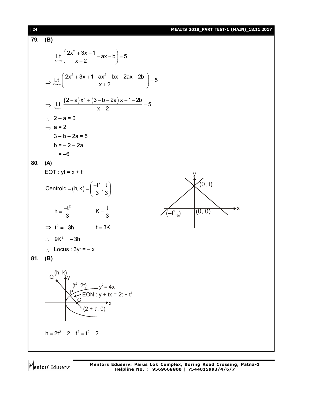79. (B)  
\n
$$
\frac{1}{x+y} \left( \frac{2x^2 + 3x + 1}{x+2} - ax - b \right) = 5
$$
\n
$$
\Rightarrow \frac{11}{x+y} \left( \frac{2x^2 + 3x + 1 - ax^2 - bx - 2ax - 2b}{x+2} \right) = 5
$$
\n
$$
\Rightarrow \frac{11}{x+y} \frac{(2-a)x^2 + (3-b-2a)x + 1-2b}{x+2} = 5
$$
\n
$$
\Rightarrow 2 - a = 0
$$
\n
$$
\Rightarrow a = 2
$$
\n
$$
3 - b - 2a = 5
$$
\n
$$
b = -2 - 2a
$$
\n
$$
= -6
$$
\n80. (A)  
\nEOT:  $yt = x + t^2$   
\n
$$
centroid = (h, k) = \left( \frac{-t^2}{3}, \frac{t}{3} \right)
$$
\n
$$
h = \frac{-t^2}{3} \qquad K = \frac{t}{3}
$$
\n
$$
\Rightarrow t^2 = -3h \qquad t = 3K
$$
\n
$$
\therefore 9K^2 = -3h \qquad t = 3K
$$
\n
$$
\therefore 9K^2 = -3h \qquad t = 3K
$$
\n81. (B)  
\n84. (B)  
\n
$$
Q \qquad \begin{pmatrix} (h, k) \\ k^2 \\ k^2 \end{pmatrix}
$$
\n
$$
Q \qquad \begin{pmatrix} (h, k) \\ k^2 \\ k^2 \end{pmatrix}
$$
\n
$$
Q \qquad \begin{pmatrix} (h, k) \\ k^2 \\ k^2 \end{pmatrix}
$$
\n
$$
Q \qquad \begin{pmatrix} 1 & k \\ k^2 & 2k \\ k^2 & 2k^2 \end{pmatrix}
$$
\n
$$
R = 2t^2 - 2 - t^2 = t^2 - 2
$$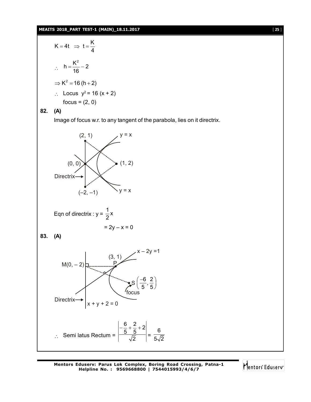#### **MEAITS 2018\_PART TEST-1 (MAIN)\_18.11.2017** [ **25** ]

$$
K = 4t \Rightarrow t = \frac{K}{4}
$$
  
\n
$$
\therefore h = \frac{K^2}{16} - 2
$$
  
\n
$$
\Rightarrow K^2 = 16 (h + 2)
$$
  
\n
$$
\therefore \text{ Locus } y^2 = 16 (x + 2)
$$
  
\nfocus = (2, 0)

# **82. (A)**

Image of focus w.r. to any tangent of the parabola, lies on it directrix.



Mentors Eduserv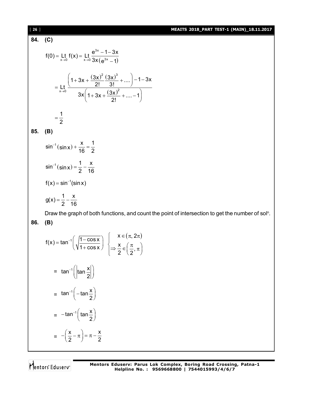#### [ **26** ] **MEAITS 2018\_PART TEST-1 (MAIN)\_18.11.2017**

**84. (C)**

$$
f(0) = \underset{x \to 0}{L} f(x) = \underset{x \to 0}{L} \frac{e^{3x} - 1 - 3x}{3x(e^{3x} - 1)}
$$
  
\n
$$
= \underset{x \to 0}{L} \frac{\left(1 + 3x + \frac{(3x)^2}{2!} \frac{(3x)^3}{3!} + \dots\right) - 1 - 3x}{3x\left(1 + 3x + \frac{(3x)^2}{2!} + \dots - 1\right)}
$$
  
\n
$$
= \frac{1}{2}
$$
  
\n85. (B)

$$
\sin^{-1}(\sin x) + \frac{x}{16} = \frac{1}{2}
$$
  
\n
$$
\sin^{-1}(\sin x) = \frac{1}{2} - \frac{x}{16}
$$
  
\n
$$
f(x) = \sin^{-1}(\sin x)
$$
  
\n
$$
g(x) = \frac{1}{2} - \frac{x}{16}
$$

Draw the graph of both functions, and count the point of intersection to get the number of sol<sup>n</sup>. **86. (B)**

$$
f(x) = \tan^{-1}\left(\sqrt{\frac{1-\cos x}{1+\cos x}}\right) \begin{cases} x \in (\pi, 2\pi) \\ \Rightarrow \frac{x}{2} \in \left(\frac{\pi}{2}, \pi\right) \end{cases}
$$
  
=  $\tan^{-1}\left(\tan \frac{x}{2}\right)$   
=  $-\tan^{-1}\left(\tan \frac{x}{2}\right)$   
=  $-\left(\frac{x}{2} - \pi\right) = \pi - \frac{x}{2}$